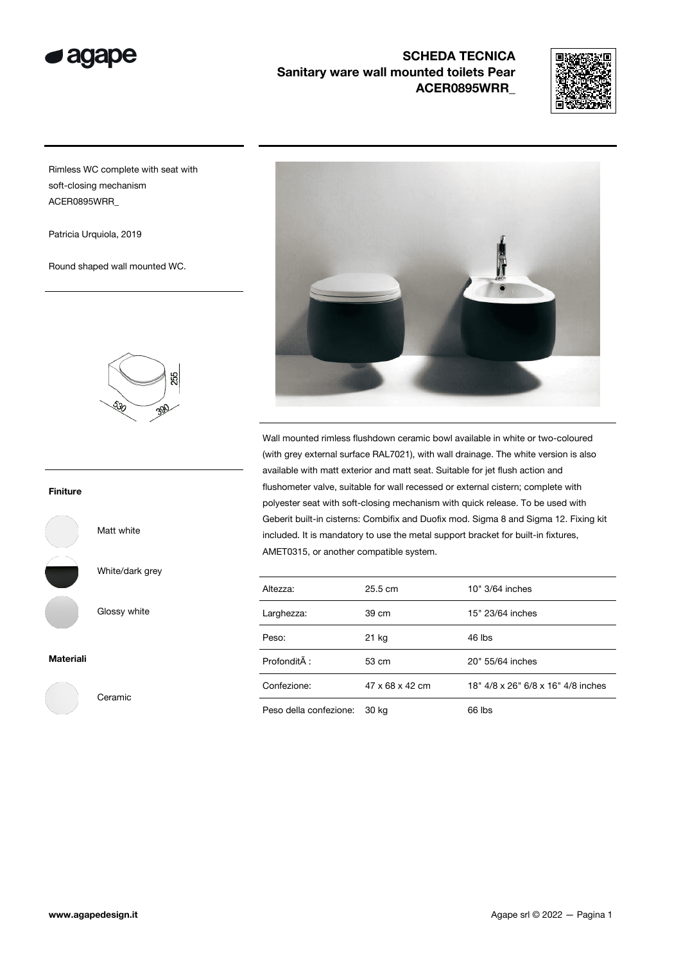

## SCHEDA TECNICA Sanitary ware wall mounted toilets Pear ACER0895WRR\_



Rimless WC complete with seat with soft-closing mechanism ACER0895WRR\_

Patricia Urquiola, 2019

Round shaped wall mounted WC.



## Finiture



White/dark grey

Matt white

Glossy white

Ceramic

Materiali





Wall mounted rimless flushdown ceramic bowl available in white or two-coloured (with grey external surface RAL7021), with wall drainage. The white version is also available with matt exterior and matt seat. Suitable for jet flush action and flushometer valve, suitable for wall recessed or external cistern; complete with polyester seat with soft-closing mechanism with quick release. To be used with Geberit built-in cisterns: Combifix and Duofix mod. Sigma 8 and Sigma 12. Fixing kit included. It is mandatory to use the metal support bracket for built-in fixtures, AMET0315, or another compatible system.

| Altezza:               | $25.5 \text{ cm}$ | 10" 3/64 inches                    |
|------------------------|-------------------|------------------------------------|
| Larghezza:             | 39 cm             | 15" 23/64 inches                   |
| Peso:                  | 21 kg             | 46 lbs                             |
| ProfonditÃ:            | 53 cm             | 20" 55/64 inches                   |
| Confezione:            | 47 x 68 x 42 cm   | 18" 4/8 x 26" 6/8 x 16" 4/8 inches |
| Peso della confezione: | 30 kg             | 66 lbs                             |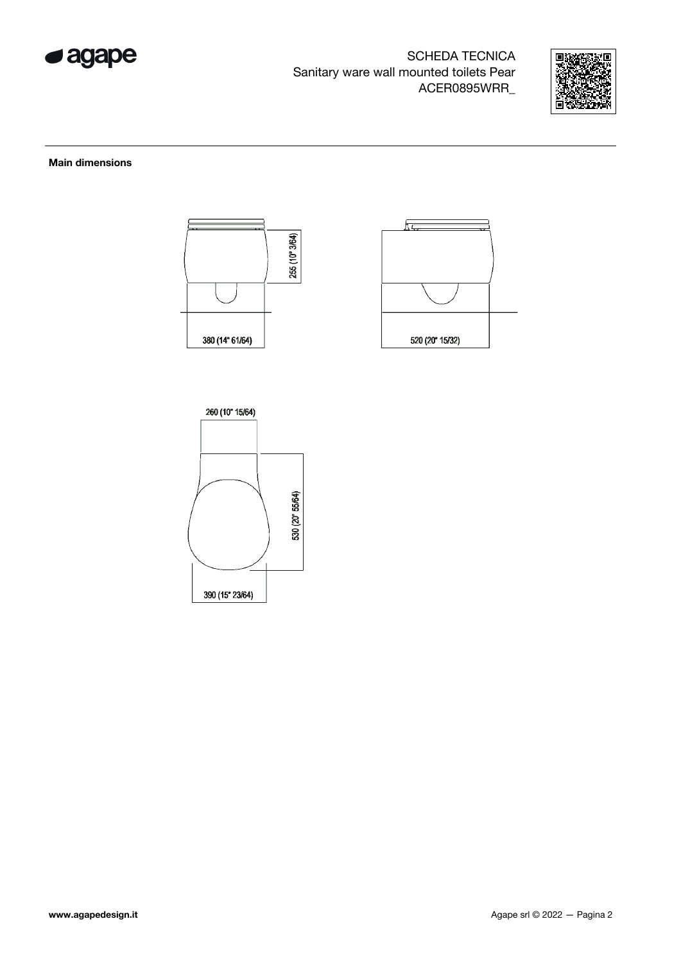

SCHEDA TECNICA Sanitary ware wall mounted toilets Pear ACER0895WRR\_



## Main dimensions